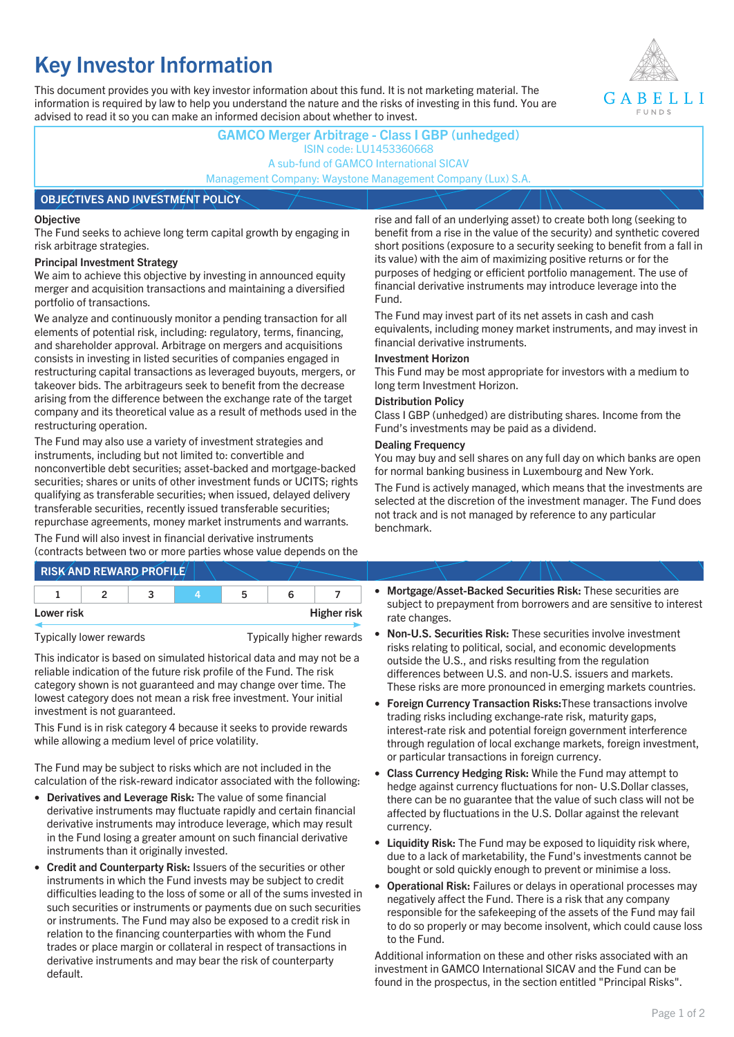# **Key Investor Information**

This document provides you with key investor information about this fund. It is not marketing material. The information is required by law to help you understand the nature and the risks of investing in this fund. You are advised to read it so you can make an informed decision about whether to invest.



## **GAMCO Merger Arbitrage - Class I GBP (unhedged)** ISIN code: LU1453360668 A sub-fund of GAMCO International SICAV Management Company: Waystone Management Company (Lux) S.A. **OBJECTIVES AND INVESTMENT POLICY**

### **Objective**

The Fund seeks to achieve long term capital growth by engaging in risk arbitrage strategies.

### **Principal Investment Strategy**

We aim to achieve this objective by investing in announced equity merger and acquisition transactions and maintaining a diversified portfolio of transactions.

We analyze and continuously monitor a pending transaction for all elements of potential risk, including: regulatory, terms, financing, and shareholder approval. Arbitrage on mergers and acquisitions consists in investing in listed securities of companies engaged in restructuring capital transactions as leveraged buyouts, mergers, or takeover bids. The arbitrageurs seek to benefit from the decrease arising from the difference between the exchange rate of the target company and its theoretical value as a result of methods used in the restructuring operation.

The Fund may also use a variety of investment strategies and instruments, including but not limited to: convertible and nonconvertible debt securities; asset-backed and mortgage-backed securities; shares or units of other investment funds or UCITS; rights qualifying as transferable securities; when issued, delayed delivery transferable securities, recently issued transferable securities; repurchase agreements, money market instruments and warrants.

The Fund will also invest in financial derivative instruments (contracts between two or more parties whose value depends on the

|            | <b>RISK AND REWARD PROFILE</b> |    |                    |
|------------|--------------------------------|----|--------------------|
|            |                                | 'n |                    |
| Lower risk |                                |    | <b>Higher risk</b> |

Typically lower rewards Typically higher rewards

This indicator is based on simulated historical data and may not be a reliable indication of the future risk profile of the Fund. The risk category shown is not guaranteed and may change over time. The lowest category does not mean a risk free investment. Your initial investment is not guaranteed.

This Fund is in risk category 4 because it seeks to provide rewards while allowing a medium level of price volatility.

The Fund may be subject to risks which are not included in the calculation of the risk-reward indicator associated with the following:

- **Derivatives and Leverage Risk:** The value of some financial derivative instruments may fluctuate rapidly and certain financial derivative instruments may introduce leverage, which may result in the Fund losing a greater amount on such financial derivative instruments than it originally invested.
- **Credit and Counterparty Risk:** Issuers of the securities or other instruments in which the Fund invests may be subject to credit difficulties leading to the loss of some or all of the sums invested in such securities or instruments or payments due on such securities or instruments. The Fund may also be exposed to a credit risk in relation to the financing counterparties with whom the Fund trades or place margin or collateral in respect of transactions in derivative instruments and may bear the risk of counterparty default.

rise and fall of an underlying asset) to create both long (seeking to benefit from a rise in the value of the security) and synthetic covered short positions (exposure to a security seeking to benefit from a fall in its value) with the aim of maximizing positive returns or for the purposes of hedging or efficient portfolio management. The use of financial derivative instruments may introduce leverage into the Fund.

The Fund may invest part of its net assets in cash and cash equivalents, including money market instruments, and may invest in financial derivative instruments.

### **Investment Horizon**

This Fund may be most appropriate for investors with a medium to long term Investment Horizon.

### **Distribution Policy**

Class I GBP (unhedged) are distributing shares. Income from the Fund's investments may be paid as a dividend.

### **Dealing Frequency**

You may buy and sell shares on any full day on which banks are open for normal banking business in Luxembourg and New York.

The Fund is actively managed, which means that the investments are selected at the discretion of the investment manager. The Fund does not track and is not managed by reference to any particular benchmark.

- **Mortgage/Asset-Backed Securities Risk:** These securities are subject to prepayment from borrowers and are sensitive to interest rate changes.
- **Non-U.S. Securities Risk:** These securities involve investment risks relating to political, social, and economic developments outside the U.S., and risks resulting from the regulation differences between U.S. and non-U.S. issuers and markets. These risks are more pronounced in emerging markets countries.
- **Foreign Currency Transaction Risks:**These transactions involve trading risks including exchange-rate risk, maturity gaps, interest-rate risk and potential foreign government interference through regulation of local exchange markets, foreign investment, or particular transactions in foreign currency.
- **Class Currency Hedging Risk:** While the Fund may attempt to hedge against currency fluctuations for non- U.S.Dollar classes, there can be no guarantee that the value of such class will not be affected by fluctuations in the U.S. Dollar against the relevant currency.
- **Liquidity Risk:** The Fund may be exposed to liquidity risk where, due to a lack of marketability, the Fund's investments cannot be bought or sold quickly enough to prevent or minimise a loss.
- **Operational Risk:** Failures or delays in operational processes may negatively affect the Fund. There is a risk that any company responsible for the safekeeping of the assets of the Fund may fail to do so properly or may become insolvent, which could cause loss to the Fund.

Additional information on these and other risks associated with an investment in GAMCO International SICAV and the Fund can be found in the prospectus, in the section entitled "Principal Risks".